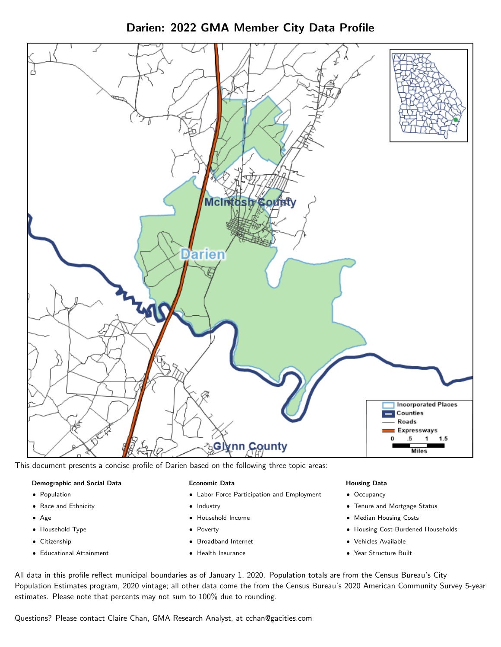

Darien: 2022 GMA Member City Data Profile

This document presents a concise profile of Darien based on the following three topic areas:

#### Demographic and Social Data

- **•** Population
- Race and Ethnicity
- Age
- Household Type
- **Citizenship**
- Educational Attainment

#### Economic Data

- Labor Force Participation and Employment
- Industry
- Household Income
- Poverty
- Broadband Internet
- Health Insurance

#### Housing Data

- Occupancy
- Tenure and Mortgage Status
- Median Housing Costs
- Housing Cost-Burdened Households
- Vehicles Available
- Year Structure Built

All data in this profile reflect municipal boundaries as of January 1, 2020. Population totals are from the Census Bureau's City Population Estimates program, 2020 vintage; all other data come the from the Census Bureau's 2020 American Community Survey 5-year estimates. Please note that percents may not sum to 100% due to rounding.

Questions? Please contact Claire Chan, GMA Research Analyst, at [cchan@gacities.com.](mailto:cchan@gacities.com)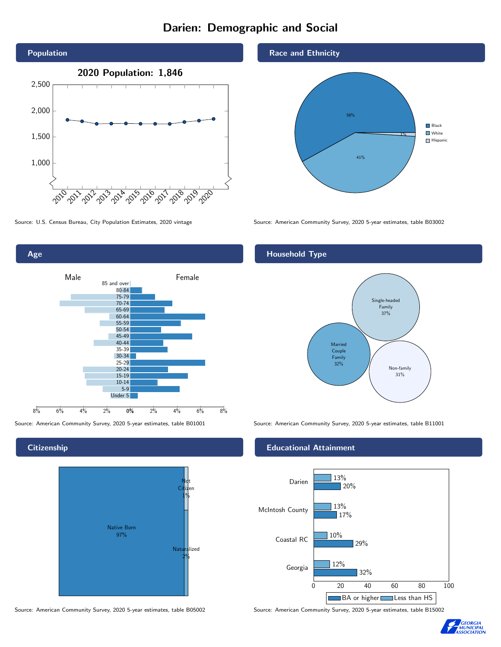# Darien: Demographic and Social





**Citizenship** 



Source: American Community Survey, 2020 5-year estimates, table B05002 Source: American Community Survey, 2020 5-year estimates, table B15002

Race and Ethnicity



Source: U.S. Census Bureau, City Population Estimates, 2020 vintage Source: American Community Survey, 2020 5-year estimates, table B03002

## Household Type



Source: American Community Survey, 2020 5-year estimates, table B01001 Source: American Community Survey, 2020 5-year estimates, table B11001

#### Educational Attainment



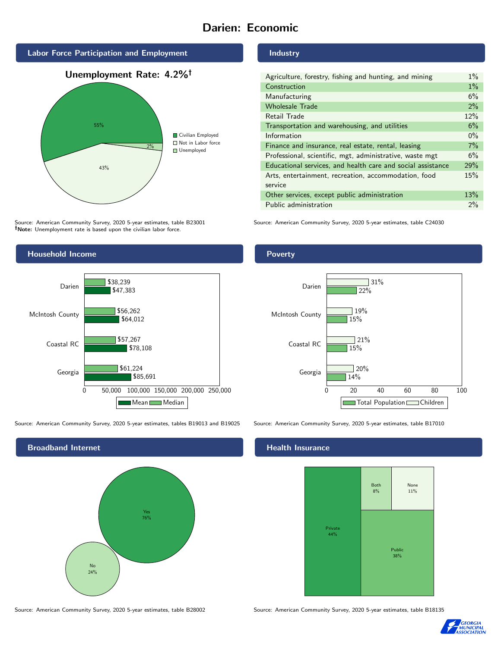# Darien: Economic



Source: American Community Survey, 2020 5-year estimates, table B23001 Note: Unemployment rate is based upon the civilian labor force.



Source: American Community Survey, 2020 5-year estimates, tables B19013 and B19025 Source: American Community Survey, 2020 5-year estimates, table B17010



Industry

| Agriculture, forestry, fishing and hunting, and mining      | $1\%$ |
|-------------------------------------------------------------|-------|
| Construction                                                | $1\%$ |
| Manufacturing                                               | 6%    |
| <b>Wholesale Trade</b>                                      | 2%    |
| Retail Trade                                                | 12%   |
| Transportation and warehousing, and utilities               | 6%    |
| Information                                                 | $0\%$ |
| Finance and insurance, real estate, rental, leasing         | 7%    |
| Professional, scientific, mgt, administrative, waste mgt    | 6%    |
| Educational services, and health care and social assistance | 29%   |
| Arts, entertainment, recreation, accommodation, food        | 15%   |
| service                                                     |       |
| Other services, except public administration                | 13%   |
| Public administration                                       | $2\%$ |

Source: American Community Survey, 2020 5-year estimates, table C24030

#### Poverty



## **Health Insurance**



Source: American Community Survey, 2020 5-year estimates, table B28002 Source: American Community Survey, 2020 5-year estimates, table B18135